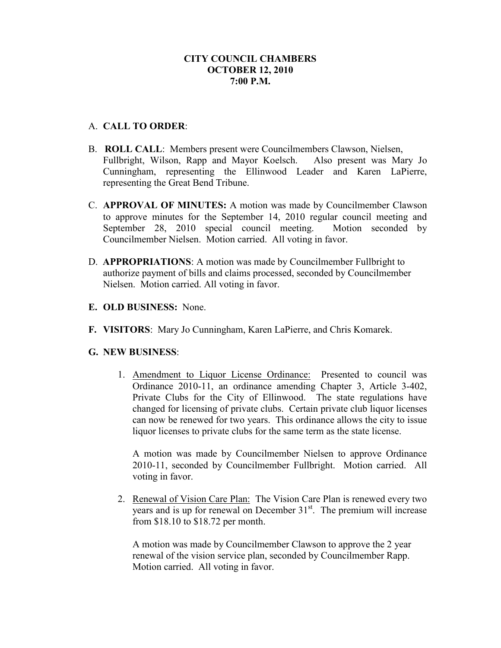# **CITY COUNCIL CHAMBERS OCTOBER 12, 2010 7:00 P.M.**

# A. **CALL TO ORDER**:

- B. **ROLL CALL**: Members present were Councilmembers Clawson, Nielsen, Fullbright, Wilson, Rapp and Mayor Koelsch. Also present was Mary Jo Cunningham, representing the Ellinwood Leader and Karen LaPierre, representing the Great Bend Tribune.
- C. **APPROVAL OF MINUTES:** A motion was made by Councilmember Clawson to approve minutes for the September 14, 2010 regular council meeting and September 28, 2010 special council meeting. Motion seconded by Councilmember Nielsen. Motion carried. All voting in favor.
- D. **APPROPRIATIONS**: A motion was made by Councilmember Fullbright to authorize payment of bills and claims processed, seconded by Councilmember Nielsen. Motion carried. All voting in favor.
- **E. OLD BUSINESS:** None.
- **F. VISITORS**: Mary Jo Cunningham, Karen LaPierre, and Chris Komarek.

#### **G. NEW BUSINESS**:

1. Amendment to Liquor License Ordinance: Presented to council was Ordinance 2010-11, an ordinance amending Chapter 3, Article 3-402, Private Clubs for the City of Ellinwood. The state regulations have changed for licensing of private clubs. Certain private club liquor licenses can now be renewed for two years. This ordinance allows the city to issue liquor licenses to private clubs for the same term as the state license.

A motion was made by Councilmember Nielsen to approve Ordinance 2010-11, seconded by Councilmember Fullbright. Motion carried. All voting in favor.

2. Renewal of Vision Care Plan: The Vision Care Plan is renewed every two years and is up for renewal on December  $31<sup>st</sup>$ . The premium will increase from \$18.10 to \$18.72 per month.

A motion was made by Councilmember Clawson to approve the 2 year renewal of the vision service plan, seconded by Councilmember Rapp. Motion carried. All voting in favor.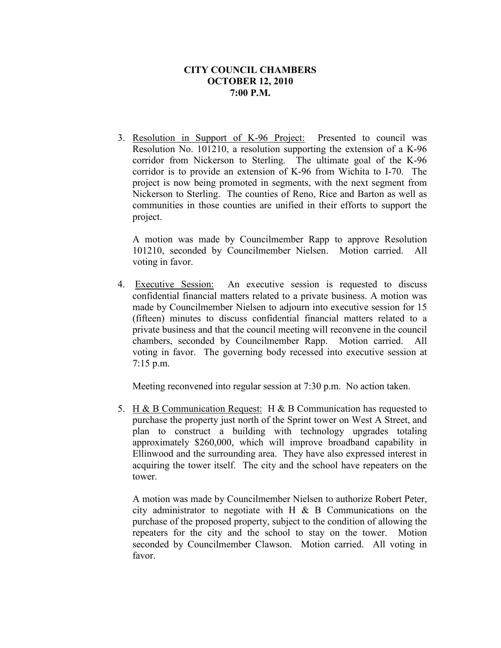### **CITY COUNCIL CHAMBERS OCTOBER 12, 2010 7:00 P.M.**

3. Resolution in Support of K-96 Project: Presented to council was Resolution No. 101210, a resolution supporting the extension of a K-96 corridor from Nickerson to Sterling. The ultimate goal of the K-96 corridor is to provide an extension of K-96 from Wichita to I-70. The project is now being promoted in segments, with the next segment from Nickerson to Sterling. The counties of Reno, Rice and Barton as well as communities in those counties are unified in their efforts to support the project.

A motion was made by Councilmember Rapp to approve Resolution 101210, seconded by Councilmember Nielsen. Motion carried. All voting in favor.

4. Executive Session: An executive session is requested to discuss confidential financial matters related to a private business. A motion was made by Councilmember Nielsen to adjourn into executive session for 15 (fifteen) minutes to discuss confidential financial matters related to a private business and that the council meeting will reconvene in the council chambers, seconded by Councilmember Rapp. Motion carried. All voting in favor. The governing body recessed into executive session at 7:15 p.m.

Meeting reconvened into regular session at 7:30 p.m. No action taken.

5. H & B Communication Request: H & B Communication has requested to purchase the property just north of the Sprint tower on West A Street, and plan to construct a building with technology upgrades totaling approximately \$260,000, which will improve broadband capability in Ellinwood and the surrounding area. They have also expressed interest in acquiring the tower itself. The city and the school have repeaters on the tower.

A motion was made by Councilmember Nielsen to authorize Robert Peter, city administrator to negotiate with H & B Communications on the purchase of the proposed property, subject to the condition of allowing the repeaters for the city and the school to stay on the tower. Motion seconded by Councilmember Clawson. Motion carried. All voting in favor.